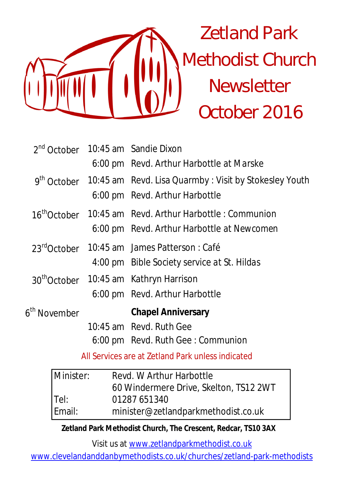

|                                                   |  | 2 <sup>nd</sup> October 10:45 am Sandie Dixon                         |  |
|---------------------------------------------------|--|-----------------------------------------------------------------------|--|
|                                                   |  | 6:00 pm Revd. Arthur Harbottle at Marske                              |  |
|                                                   |  | $9th October 10:45 am Revd. Lisa Quantity : Visit by Stokesley Youth$ |  |
|                                                   |  | 6:00 pm Revd. Arthur Harbottle                                        |  |
|                                                   |  | 16 <sup>th</sup> October 10:45 am Revd. Arthur Harbottle: Communion   |  |
|                                                   |  | 6:00 pm Revd. Arthur Harbottle at Newcomen                            |  |
|                                                   |  | 23 <sup>rd</sup> October 10:45 am James Patterson : Café              |  |
|                                                   |  | 4:00 pm Bible Society service at St. Hildas                           |  |
|                                                   |  | 30 <sup>th</sup> October 10:45 am Kathryn Harrison                    |  |
|                                                   |  | 6:00 pm Revd. Arthur Harbottle                                        |  |
| 6 <sup>th</sup> November                          |  | <b>Chapel Anniversary</b>                                             |  |
|                                                   |  | 10:45 am Revd. Ruth Gee                                               |  |
|                                                   |  | 6:00 pm Revd. Ruth Gee: Communion                                     |  |
| All Services are at Zetland Park unless indicated |  |                                                                       |  |

| Minister: | Revd. W Arthur Harbottle               |  |
|-----------|----------------------------------------|--|
|           | 60 Windermere Drive, Skelton, TS12 2WT |  |
| Tel:      | 01287 651340                           |  |
| Email:    | minister@zetlandparkmethodist.co.uk    |  |

**Zetland Park Methodist Church, The Crescent, Redcar, TS10 3AX**

Visit us at www.zetlandparkmethodist.co.uk

www.clevelandanddanbymethodists.co.uk/churches/zetland-park-methodists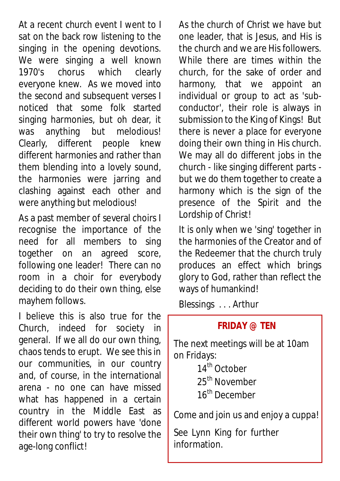At a recent church event I went to I sat on the back row listening to the singing in the opening devotions. We were singing a well known 1970's chorus which clearly everyone knew. As we moved into the second and subsequent verses I noticed that some folk started singing harmonies, but oh dear, it was anything but melodious! Clearly, different people knew different harmonies and rather than them blending into a lovely sound, the harmonies were jarring and clashing against each other and were anything but melodious!

As a past member of several choirs I recognise the importance of the need for all members to sing together on an agreed score, following one leader! There can no room in a choir for everybody deciding to do their own thing, else mayhem follows.

I believe this is also true for the Church, indeed for society in general. If we all do our own thing, chaos tends to erupt. We see this in our communities, in our country and, of course, in the international arena - no one can have missed what has happened in a certain country in the Middle East as different world powers have 'done their own thing' to try to resolve the age-long conflict!

As the church of Christ we have but one leader, that is Jesus, and His is the church and we are His followers. While there are times within the church, for the sake of order and harmony, that we appoint an individual or group to act as 'subconductor', their role is always in submission to the King of Kings! But there is never a place for everyone doing their own thing in His church. We may all do different jobs in the church - like singing different parts but we do them together to create a harmony which is the sign of the presence of the Spirit and the Lordship of Christ!

It is only when we 'sing' together in the harmonies of the Creator and of the Redeemer that the church truly produces an effect which brings glory to God, rather than reflect the ways of humankind!

Blessings . . . Arthur

## **FRIDAY @ TEN**

The next meetings will be at 10am on Fridays:

> 14<sup>th</sup> October 25<sup>th</sup> November 16<sup>th</sup> December

Come and join us and enjoy a cuppa!

See Lynn King for further information.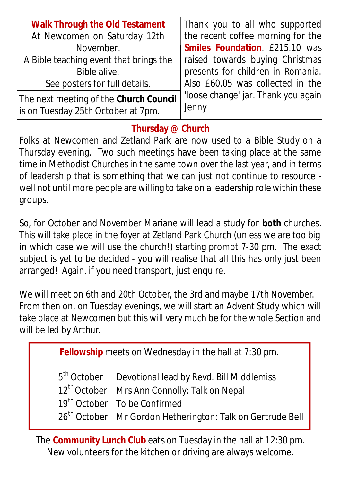| <b>Walk Through the Old Testament</b>  | Thank you to all who supported      |
|----------------------------------------|-------------------------------------|
| At Newcomen on Saturday 12th           | the recent coffee morning for the   |
| November.                              | Smiles Foundation. £215.10 was      |
| A Bible teaching event that brings the | raised towards buying Christmas     |
| Bible alive.                           | presents for children in Romania.   |
| See posters for full details.          | Also £60.05 was collected in the    |
| The next meeting of the Church Council | 'loose change' jar. Thank you again |
| is on Tuesday 25th October at 7pm.     | Jenny                               |

### **Thursday @ Church**

Folks at Newcomen and Zetland Park are now used to a Bible Study on a Thursday evening. Two such meetings have been taking place at the same time in Methodist Churches in the same town over the last year, and in terms of leadership that is something that we can just not continue to resource well not until more people are willing to take on a leadership role within these groups.

So, for October and November Mariane will lead a study for **both** churches. This will take place in the foyer at Zetland Park Church (unless we are too big in which case we will use the church!) starting prompt 7-30 pm. The exact subject is yet to be decided - you will realise that all this has only just been arranged! Again, if you need transport, just enquire.

We will meet on 6th and 20th October, the 3rd and maybe 17th November. From then on, on Tuesday evenings, we will start an Advent Study which will take place at Newcomen but this will very much be for the whole Section and will be led by Arthur.

| <b>Fellowship</b> meets on Wednesday in the hall at 7:30 pm. |                                                                                                                                                                                                                                                    |  |  |  |
|--------------------------------------------------------------|----------------------------------------------------------------------------------------------------------------------------------------------------------------------------------------------------------------------------------------------------|--|--|--|
|                                                              | 5 <sup>th</sup> October Devotional lead by Revd. Bill Middlemiss<br>12 <sup>th</sup> October Mrs Ann Connolly: Talk on Nepal<br>19 <sup>th</sup> October To be Confirmed<br>26 <sup>th</sup> October Mr Gordon Hetherington: Talk on Gertrude Bell |  |  |  |

The **Community Lunch Club** eats on Tuesday in the hall at 12:30 pm. New volunteers for the kitchen or driving are always welcome.